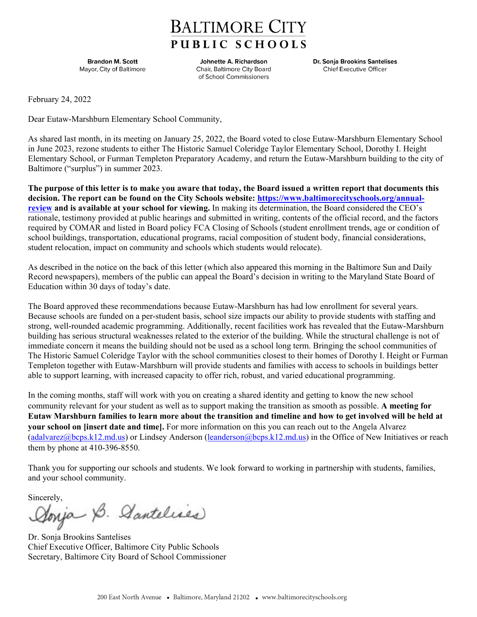## **BALTIMORE CITY** PUBLIC SCHOOLS

**Brandon M. Scott** Mayor, City of Baltimore

Johnette A. Richardson Chair, Baltimore City Board of School Commissioners

Dr. Sonja Brookins Santelises **Chief Executive Officer** 

February 24, 2022

Dear Eutaw-Marshburn Elementary School Community,

As shared last month, in its meeting on January 25, 2022, the Board voted to close Eutaw-Marshburn Elementary School in June 2023, rezone students to either The Historic Samuel Coleridge Taylor Elementary School, Dorothy I. Height Elementary School, or Furman Templeton Preparatory Academy, and return the Eutaw-Marshburn building to the city of Baltimore ("surplus") in summer 2023.

**The purpose of this letter is to make you aware that today, the Board issued a written report that documents this decision. The report can be found on the City Schools website: [https://www.baltimorecityschools.org/annual](https://www.baltimorecityschools.org/annual-review)[review](https://www.baltimorecityschools.org/annual-review) and is available at your school for viewing.** In making its determination, the Board considered the CEO's rationale, testimony provided at public hearings and submitted in writing, contents of the official record, and the factors required by COMAR and listed in Board policy FCA Closing of Schools (student enrollment trends, age or condition of school buildings, transportation, educational programs, racial composition of student body, financial considerations, student relocation, impact on community and schools which students would relocate).

As described in the notice on the back of this letter (which also appeared this morning in the Baltimore Sun and Daily Record newspapers), members of the public can appeal the Board's decision in writing to the Maryland State Board of Education within 30 days of today's date.

The Board approved these recommendations because Eutaw-Marshburn has had low enrollment for several years. Because schools are funded on a per-student basis, school size impacts our ability to provide students with staffing and strong, well-rounded academic programming. Additionally, recent facilities work has revealed that the Eutaw-Marshburn building has serious structural weaknesses related to the exterior of the building. While the structural challenge is not of immediate concern it means the building should not be used as a school long term. Bringing the school communities of The Historic Samuel Coleridge Taylor with the school communities closest to their homes of Dorothy I. Height or Furman Templeton together with Eutaw-Marshburn will provide students and families with access to schools in buildings better able to support learning, with increased capacity to offer rich, robust, and varied educational programming.

In the coming months, staff will work with you on creating a shared identity and getting to know the new school community relevant for your student as well as to support making the transition as smooth as possible. **A meeting for Eutaw Marshburn families to learn more about the transition and timeline and how to get involved will be held at your school on [insert date and time].** For more information on this you can reach out to the Angela Alvarez [\(adalvarez@bcps.k12.md.us\)](mailto:adalvarez@bcps.k12.md.us) or Lindsey Anderson [\(leanderson@bcps.k12.md.us\)](mailto:leanderson@bcps.k12.md.us) in the Office of New Initiatives or reach them by phone at 410-396-8550.

Thank you for supporting our schools and students. We look forward to working in partnership with students, families, and your school community.

Sincerely,<br>Aonja B. Aantelises

Dr. Sonja Brookins Santelises Chief Executive Officer, Baltimore City Public Schools Secretary, Baltimore City Board of School Commissioner